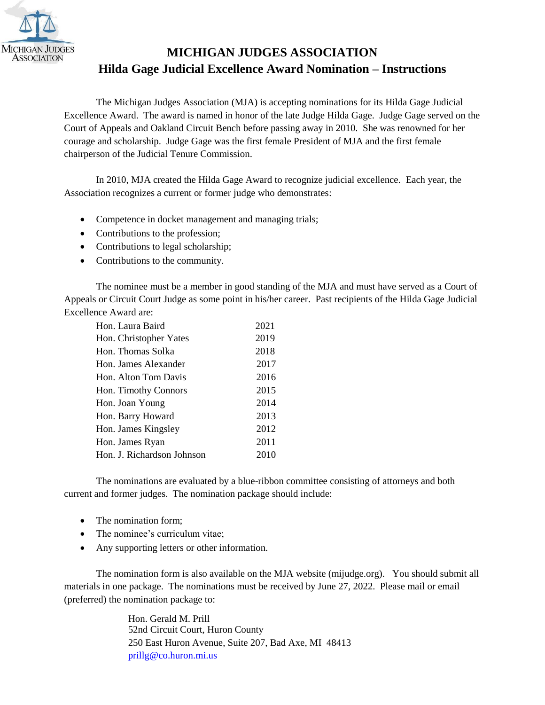

## **Hilda Gage Judicial Excellence Award Nomination – Instructions MICHIGAN JUDGES ASSOCIATION**

chairperson of the Judicial Tenure Commission. courage and scholarship. Judge Gage was the first female President of MJA and the first female Court of Appeals and Oakland Circuit Bench before passing away in 2010. She was renowned for her Excellence Award. The award is named in honor of the late Judge Hilda Gage. Judge Gage served on the The Michigan Judges Association (MJA) is accepting nominations for its Hilda Gage Judicial

 In 2010, MJA created the Hilda Gage Award to recognize judicial excellence. Each year, the Association recognizes a current or former judge who demonstrates:

- Competence in docket management and managing trials;
- Contributions to the profession;
- Contributions to legal scholarship;
- Contributions to the community.

Excellence Award are: Appeals or Circuit Court Judge as some point in his/her career. Past recipients of the Hilda Gage Judicial The nominee must be a member in good standing of the MJA and must have served as a Court of

| Hon. Laura Baird           | 2021 |
|----------------------------|------|
| Hon. Christopher Yates     | 2019 |
| Hon. Thomas Solka          | 2018 |
| Hon. James Alexander       | 2017 |
| Hon. Alton Tom Davis       | 2016 |
| Hon. Timothy Connors       | 2015 |
| Hon. Joan Young            | 2014 |
| Hon. Barry Howard          | 2013 |
| Hon. James Kingsley        | 2012 |
| Hon. James Ryan            | 2011 |
| Hon. J. Richardson Johnson | 2010 |

current and former judges. The nomination package should include: The nominations are evaluated by a blue-ribbon committee consisting of attorneys and both

- The nomination form:
- The nominee's curriculum vitae;
- Any supporting letters or other information.

The nomination form is also available on the MJA website (mijudge.org). You should submit all (preferred) the nomination package to: materials in one package. The nominations must be received by June 27, 2022. Please mail or email

> prillg@co.huron.mi.us [250 East Huron Avenue](mailto:jhulsing@miottawa.org), Suite 207, Bad Axe, MI 48413 52nd Circuit Court, Huron County Hon. Gerald M. Prill